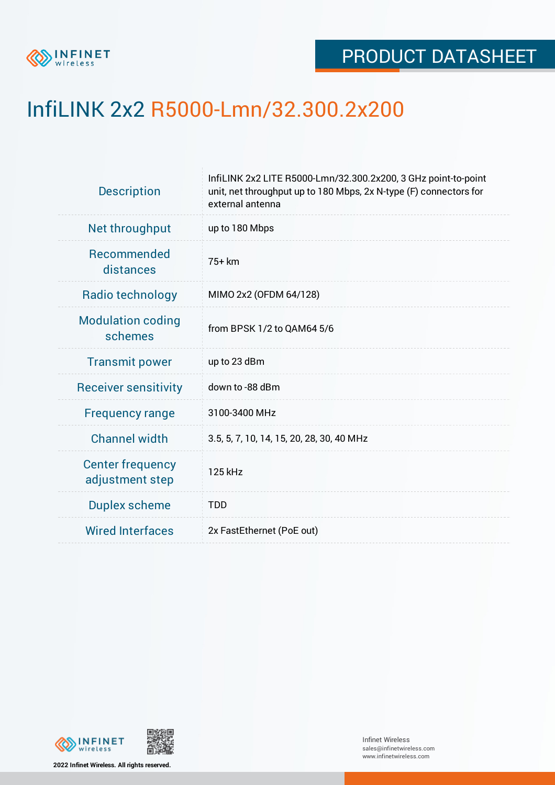

## InfiLINK 2x2 R5000-Lmn/32.300.2x200

| <b>Description</b>                         | InfiLINK 2x2 LITE R5000-Lmn/32.300.2x200, 3 GHz point-to-point<br>unit, net throughput up to 180 Mbps, 2x N-type (F) connectors for<br>external antenna |  |  |  |  |
|--------------------------------------------|---------------------------------------------------------------------------------------------------------------------------------------------------------|--|--|--|--|
| Net throughput                             | up to 180 Mbps                                                                                                                                          |  |  |  |  |
| <b>Recommended</b><br>distances            | 75+ km                                                                                                                                                  |  |  |  |  |
| Radio technology                           | MIMO 2x2 (OFDM 64/128)                                                                                                                                  |  |  |  |  |
| <b>Modulation coding</b><br>schemes        | from BPSK 1/2 to QAM64 5/6                                                                                                                              |  |  |  |  |
| <b>Transmit power</b>                      | up to 23 dBm                                                                                                                                            |  |  |  |  |
| <b>Receiver sensitivity</b>                | down to -88 dBm                                                                                                                                         |  |  |  |  |
| <b>Frequency range</b>                     | 3100-3400 MHz                                                                                                                                           |  |  |  |  |
| <b>Channel width</b>                       | 3.5, 5, 7, 10, 14, 15, 20, 28, 30, 40 MHz                                                                                                               |  |  |  |  |
| <b>Center frequency</b><br>adjustment step | 125 kHz                                                                                                                                                 |  |  |  |  |
| <b>Duplex scheme</b>                       | <b>TDD</b>                                                                                                                                              |  |  |  |  |
| <b>Wired Interfaces</b>                    | 2x FastEthernet (PoE out)                                                                                                                               |  |  |  |  |
|                                            |                                                                                                                                                         |  |  |  |  |



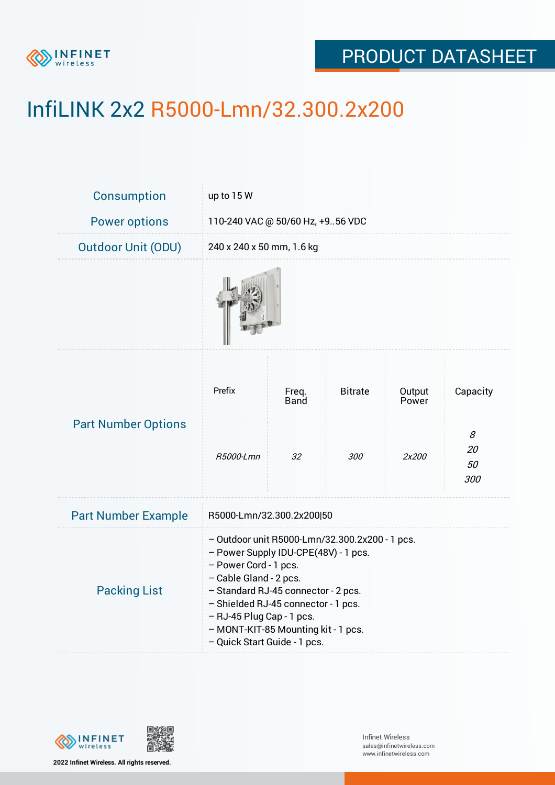

## PRODUCT DATASHEET

# InfiLINK 2x2 R5000-Lmn/32.300.2x200

| <b>Consumption</b>         | up to 15 W                                                                                                                                                                                                                                                                                                                  |               |                |                 |                      |  |  |
|----------------------------|-----------------------------------------------------------------------------------------------------------------------------------------------------------------------------------------------------------------------------------------------------------------------------------------------------------------------------|---------------|----------------|-----------------|----------------------|--|--|
| <b>Power options</b>       | 110-240 VAC @ 50/60 Hz, +956 VDC                                                                                                                                                                                                                                                                                            |               |                |                 |                      |  |  |
| <b>Outdoor Unit (ODU)</b>  | 240 x 240 x 50 mm, 1.6 kg                                                                                                                                                                                                                                                                                                   |               |                |                 |                      |  |  |
|                            |                                                                                                                                                                                                                                                                                                                             |               |                |                 |                      |  |  |
| <b>Part Number Options</b> | Prefix                                                                                                                                                                                                                                                                                                                      | Freq.<br>Band | <b>Bitrate</b> | Output<br>Power | Capacity             |  |  |
|                            | R5000-Lmn                                                                                                                                                                                                                                                                                                                   | 32            | 300            | 2x200           | 8<br>20<br>50<br>300 |  |  |
| <b>Part Number Example</b> | R5000-Lmn/32.300.2x200 50                                                                                                                                                                                                                                                                                                   |               |                |                 |                      |  |  |
| <b>Packing List</b>        | - Outdoor unit R5000-Lmn/32.300.2x200 - 1 pcs.<br>- Power Supply IDU-CPE(48V) - 1 pcs.<br>- Power Cord - 1 pcs.<br>- Cable Gland - 2 pcs.<br>- Standard RJ-45 connector - 2 pcs.<br>- Shielded RJ-45 connector - 1 pcs.<br>- RJ-45 Plug Cap - 1 pcs.<br>- MONT-KIT-85 Mounting kit - 1 pcs.<br>- Quick Start Guide - 1 pcs. |               |                |                 |                      |  |  |



**2022 Infinet Wireless. All rights reserved.**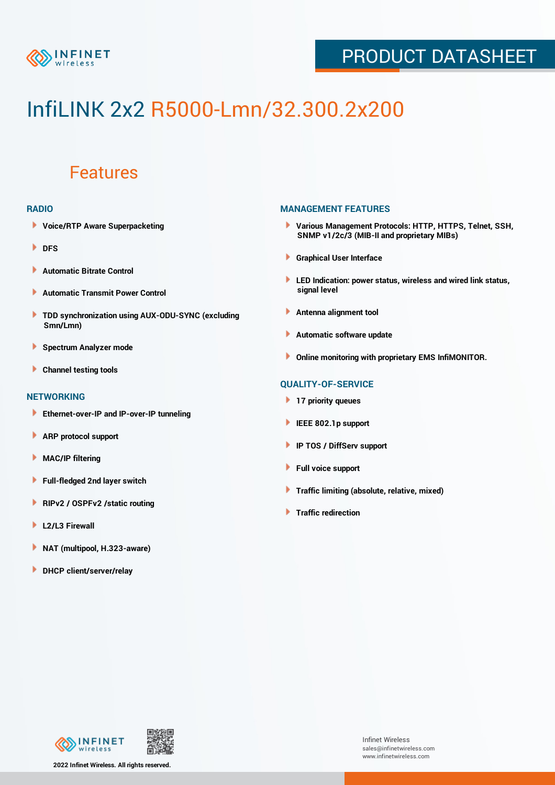

## PRODUCT DATASHEET

# InfiLINK 2x2 R5000-Lmn/32.300.2x200

### Features

#### **RADIO**

- **Voice/RTP Aware Superpacketing**
- **DFS**
- **Automatic Bitrate Control** Þ
- Þ **Automatic Transmit Power Control**
- ь **TDD synchronization using AUX-ODU-SYNC (excluding Smn/Lmn)**
- **Spectrum Analyzer mode** ۰
- **Channel testing tools** ١

#### **NETWORKING**

- **Ethernet-over-IP and IP-over-IP tunneling**
- Þ **ARP protocol support**
- ۱ **MAC/IP filtering**
- Þ **Full-fledged 2nd layer switch**
- Þ **RIPv2 / OSPFv2 /static routing**
- **L2/L3 Firewall** Þ
- **NAT (multipool, H.323-aware)** Þ
- **DHCP client/server/relay**

#### **MANAGEMENT FEATURES**

- **Various Management Protocols: HTTP, HTTPS, Telnet, SSH, SNMP v1/2c/3 (MIB-II and proprietary MIBs)**
- **Graphical User Interface**
- **LED Indication: power status, wireless and wired link status, signal level**
- **Antenna alignment tool**
- ٠ **Automatic software update**
- **Online monitoring with proprietary EMS InfiMONITOR.**

#### **QUALITY-OF-SERVICE**

- **17 priority queues**
- **IEEE 802.1p support**
- **IP TOS / DiffServ support**
- ٠ **Full voice support**
- **Traffic limiting (absolute, relative, mixed)** ٠
- **Traffic redirection**